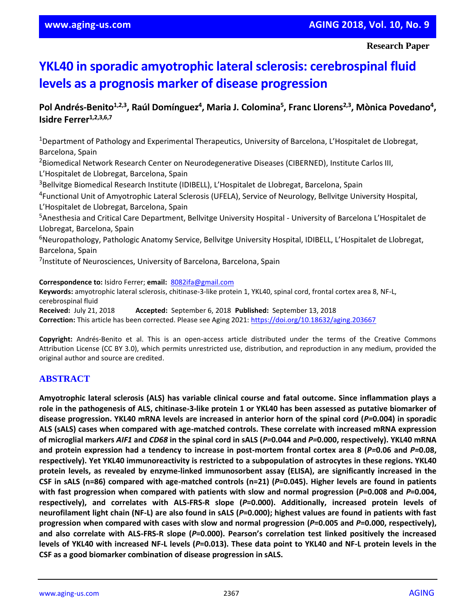# **YKL40 in sporadic amyotrophic lateral sclerosis: cerebrospinal fluid levels as a prognosis marker of disease progression**

# Pol Andrés-Benito<sup>1,2,3</sup>, Raúl Domínguez<sup>4</sup>, Maria J. Colomina<sup>5</sup>, Franc Llorens<sup>2,3</sup>, Mònica Povedano<sup>4</sup>, **Isidre Ferrer1,2,3,6,7**

<sup>1</sup>Department of Pathology and Experimental Therapeutics, University of Barcelona, L'Hospitalet de Llobregat, Barcelona, Spain

<sup>2</sup>Biomedical Network Research Center on Neurodegenerative Diseases (CIBERNED), Institute Carlos III, L'Hospitalet de Llobregat, Barcelona, Spain

<sup>3</sup>Bellvitge Biomedical Research Institute (IDIBELL), L'Hospitalet de Llobregat, Barcelona, Spain

4 Functional Unit of Amyotrophic Lateral Sclerosis (UFELA), Service of Neurology, Bellvitge University Hospital, L'Hospitalet de Llobregat, Barcelona, Spain

<sup>5</sup>Anesthesia and Critical Care Department, Bellvitge University Hospital - University of Barcelona L'Hospitalet de Llobregat, Barcelona, Spain

<sup>6</sup>Neuropathology, Pathologic Anatomy Service, Bellvitge University Hospital, IDIBELL, L'Hospitalet de Llobregat, Barcelona, Spain

<sup>7</sup>Institute of Neurosciences, University of Barcelona, Barcelona, Spain

**Correspondence to:** Isidro Ferrer; **email:** 8082ifa@gmail.com **Keywords:** amyotrophic lateral sclerosis, chitinase-3-like protein 1, YKL40, spinal cord, frontal cortex area 8, NF-L, cerebrospinal fluid

**Received:** July 21, 2018 **Accepted:** September 6, 2018 **Published:** September 13, 2018 **Correction:** This article has been corrected. Please see Aging 2021:<https://doi.org/10.18632/aging.203667>

**Copyright:** Andrés-Benito et al. This is an open-access article distributed under the terms of the Creative Commons Attribution License (CC BY 3.0), which permits unrestricted use, distribution, and reproduction in any medium, provided the original author and source are credited.

# **ABSTRACT**

**Amyotrophic lateral sclerosis (ALS) has variable clinical course and fatal outcome. Since inflammation plays a role in the pathogenesis of ALS, chitinase-3-like protein 1 or YKL40 has been assessed as putative biomarker of disease progression. YKL40 mRNA levels are increased in anterior horn of the spinal cord (***P=***0.004) in sporadic ALS (sALS) cases when compared with age-matched controls. These correlate with increased mRNA expression of microglial markers** *AIF1* **and** *CD68* **in the spinal cord in sALS (***P=***0.044 and** *P=***0.000, respectively). YKL40 mRNA and protein expression had a tendency to increase in post-mortem frontal cortex area 8 (***P=***0.06 and** *P=***0.08, respectively). Yet YKL40 immunoreactivity is restricted to a subpopulation of astrocytes in these regions. YKL40 protein levels, as revealed by enzyme-linked immunosorbent assay (ELISA), are significantly increased in the CSF in sALS (n=86) compared with age-matched controls (n=21) (***P***=0.045). Higher levels are found in patients with fast progression when compared with patients with slow and normal progression (***P***=0.008 and** *P***=0.004, respectively), and correlates with ALS-FRS-R slope (***P***=0.000). Additionally, increased protein levels of neurofilament light chain (NF-L) are also found in sALS (***P***=0.000); highest values are found in patients with fast progression when compared with cases with slow and normal progression (***P***=0.005 and** *P***=0.000, respectively), and also correlate with ALS-FRS-R slope (***P***=0.000). Pearson's correlation test linked positively the increased levels of YKL40 with increased NF-L levels (***P***=0.013). These data point to YKL40 and NF-L protein levels in the CSF as a good biomarker combination of disease progression in sALS.**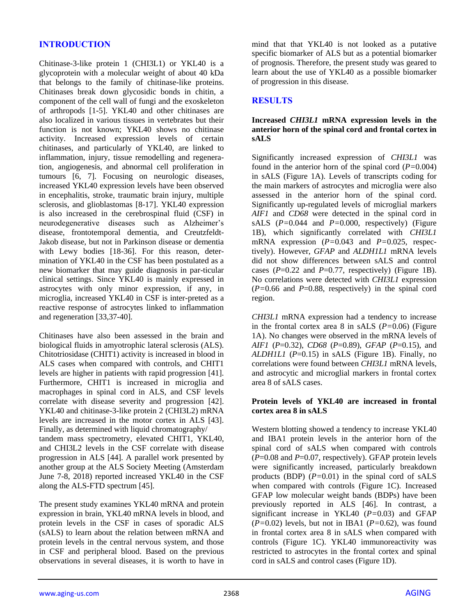# **INTRODUCTION**

Chitinase-3-like protein 1 (CHI3L1) or YKL40 is a glycoprotein with a molecular weight of about 40 kDa that belongs to the family of chitinase-like proteins. Chitinases break down glycosidic bonds in chitin, a component of the cell wall of fungi and the exoskeleton of arthropods [1-5]. YKL40 and other chitinases are also localized in various tissues in vertebrates but their function is not known; YKL40 shows no chitinase activity. Increased expression levels of certain chitinases, and particularly of YKL40, are linked to inflammation, injury, tissue remodelling and regeneration, angiogenesis, and abnormal cell proliferation in tumours [6, 7]. Focusing on neurologic diseases, increased YKL40 expression levels have been observed in encephalitis, stroke, traumatic brain injury, multiple sclerosis, and glioblastomas [8-17]. YKL40 expression is also increased in the cerebrospinal fluid (CSF) in neurodegenerative diseases such as Alzheimer's disease, frontotemporal dementia, and Creutzfeldt-Jakob disease, but not in Parkinson disease or dementia with Lewy bodies [18-36]. For this reason, determination of YKL40 in the CSF has been postulated as a new biomarker that may guide diagnosis in par-ticular clinical settings. Since YKL40 is mainly expressed in astrocytes with only minor expression, if any, in microglia, increased YKL40 in CSF is inter-preted as a reactive response of astrocytes linked to inflammation and regeneration [33,37-40].

Chitinases have also been assessed in the brain and biological fluids in amyotrophic lateral sclerosis (ALS). Chitotriosidase (CHIT1) activity is increased in blood in ALS cases when compared with controls, and CHIT1 levels are higher in patients with rapid progression [41]. Furthermore, CHIT1 is increased in microglia and macrophages in spinal cord in ALS, and CSF levels correlate with disease severity and progression [42]. YKL40 and chitinase-3-like protein 2 (CHI3L2) mRNA levels are increased in the motor cortex in ALS [43]. Finally, as determined with liquid chromatography/ tandem mass spectrometry, elevated CHIT1, YKL40, and CHI3L2 levels in the CSF correlate with disease progression in ALS [44]. A parallel work presented by another group at the ALS Society Meeting (Amsterdam June 7-8, 2018) reported increased YKL40 in the CSF along the ALS-FTD spectrum [45].

The present study examines YKL40 mRNA and protein expression in brain, YKL40 mRNA levels in blood, and protein levels in the CSF in cases of sporadic ALS (sALS) to learn about the relation between mRNA and protein levels in the central nervous system, and those in CSF and peripheral blood. Based on the previous observations in several diseases, it is worth to have in mind that that YKL40 is not looked as a putative specific biomarker of ALS but as a potential biomarker of prognosis. Therefore, the present study was geared to learn about the use of YKL40 as a possible biomarker of progression in this disease.

## **RESULTS**

## **Increased** *CHI3L1* **mRNA expression levels in the anterior horn of the spinal cord and frontal cortex in sALS**

Significantly increased expression of *CHI3L1* was found in the anterior horn of the spinal cord (*P=*0.004) in sALS (Figure 1A). Levels of transcripts coding for the main markers of astrocytes and microglia were also assessed in the anterior horn of the spinal cord. Significantly up-regulated levels of microglial markers *AIF1* and *CD68* were detected in the spinal cord in sALS (*P=*0.044 and *P=*0.000, respectively) (Figure 1B), which significantly correlated with *CHI3L1* mRNA expression (*P=*0.043 and *P=*0.025, respectively). However, *GFAP* and *ALDH1L1* mRNA levels did not show differences between sALS and control cases  $(P=0.22$  and  $P=0.77$ , respectively) (Figure 1B). No correlations were detected with *CHI3L1* expression  $(P=0.66$  and  $P=0.88$ , respectively) in the spinal cord region.

*CHI3L1* mRNA expression had a tendency to increase in the frontal cortex area 8 in sALS (*P=*0.06) (Figure 1A). No changes were observed in the mRNA levels of *AIF1* (*P*=0.32), *CD68* (*P*=0.89), *GFAP* (*P*=0.15), and *ALDH1L1* (*P*=0.15) in sALS (Figure 1B). Finally, no correlations were found between *CHI3L1* mRNA levels, and astrocytic and microglial markers in frontal cortex area 8 of sALS cases.

## **Protein levels of YKL40 are increased in frontal cortex area 8 in sALS**

Western blotting showed a tendency to increase YKL40 and IBA1 protein levels in the anterior horn of the spinal cord of sALS when compared with controls (*P*=0.08 and *P*=0.07, respectively). GFAP protein levels were significantly increased, particularly breakdown products (BDP) (*P=*0.01) in the spinal cord of sALS when compared with controls (Figure 1C). Increased GFAP low molecular weight bands (BDPs) have been previously reported in ALS [46]. In contrast, a significant increase in YKL40 (*P=*0.03) and GFAP (*P=*0.02) levels, but not in IBA1 (*P=*0.62), was found in frontal cortex area 8 in sALS when compared with controls (Figure 1C). YKL40 immunoreactivity was restricted to astrocytes in the frontal cortex and spinal cord in sALS and control cases (Figure 1D).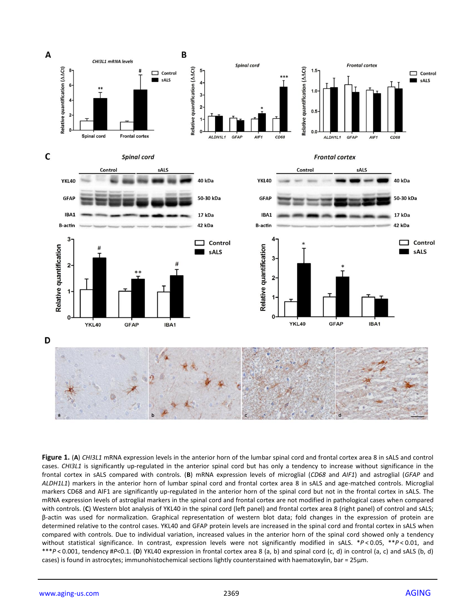

**Figure 1.** (**A**) *CHI3L1* mRNA expression levels in the anterior horn of the lumbar spinal cord and frontal cortex area 8 in sALS and control cases. *CHI3L1* is significantly up-regulated in the anterior spinal cord but has only a tendency to increase without significance in the frontal cortex in sALS compared with controls. (**B**) mRNA expression levels of microglial (*CD68* and *AIF1*) and astroglial (*GFAP* and *ALDH1L1*) markers in the anterior horn of lumbar spinal cord and frontal cortex area 8 in sALS and age-matched controls. Microglial markers CD68 and AIF1 are significantly up-regulated in the anterior horn of the spinal cord but not in the frontal cortex in sALS. The mRNA expression levels of astroglial markers in the spinal cord and frontal cortex are not modified in pathological cases when compared with controls. (**C**) Western blot analysis of YKL40 in the spinal cord (left panel) and frontal cortex area 8 (right panel) of control and sALS; β-actin was used for normalization. Graphical representation of western blot data; fold changes in the expression of protein are determined relative to the control cases. YKL40 and GFAP protein levels are increased in the spinal cord and frontal cortex in sALS when compared with controls. Due to individual variation, increased values in the anterior horn of the spinal cord showed only a tendency without statistical significance. In contrast, expression levels were not significantly modified in sALS. \**P* < 0.05, \*\**P* < 0.01, and \*\*\**P* < 0.001, tendency #*P*<0.1. (**D**) YKL40 expression in frontal cortex area 8 (a, b) and spinal cord (c, d) in control (a, c) and sALS (b, d) cases) is found in astrocytes; immunohistochemical sections lightly counterstained with haematoxylin, bar = 25μm.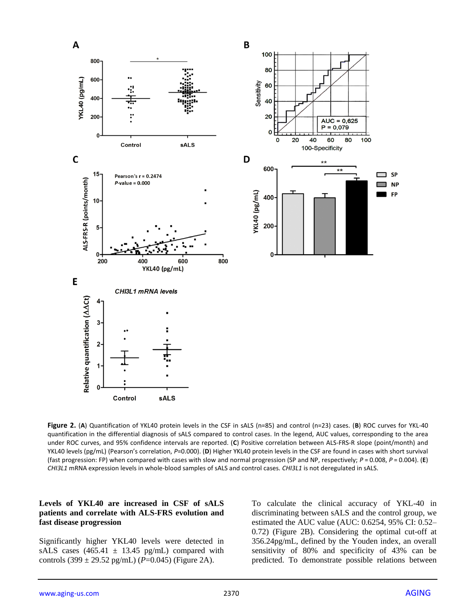

**Figure 2.** (**A**) Quantification of YKL40 protein levels in the CSF in sALS (n=85) and control (n=23) cases. (**B**) ROC curves for YKL-40 quantification in the differential diagnosis of sALS compared to control cases. In the legend, AUC values, corresponding to the area under ROC curves, and 95% confidence intervals are reported. (**C**) Positive correlation between ALS-FRS-R slope (point/month) and YKL40 levels (pg/mL) (Pearson's correlation, *P*=0.000). (**D**) Higher YKL40 protein levels in the CSF are found in cases with short survival (fast progression: FP) when compared with cases with slow and normal progression (SP and NP, respectively; *P* = 0.008, *P* = 0.004). (**E**) *CHI3L1* mRNA expression levels in whole-blood samples of sALS and control cases. *CHI3L1* is not deregulated in sALS.

#### **Levels of YKL40 are increased in CSF of sALS patients and correlate with ALS-FRS evolution and fast disease progression**

Significantly higher YKL40 levels were detected in sALS cases  $(465.41 \pm 13.45 \text{ pg/mL})$  compared with controls  $(399 \pm 29.52 \text{ pg/mL})$  (*P*=0.045) (Figure 2A).

To calculate the clinical accuracy of YKL-40 in discriminating between sALS and the control group, we estimated the AUC value (AUC: 0.6254, 95% CI: 0.52– 0.72) (Figure 2B). Considering the optimal cut-off at 356.24pg/mL, defined by the Youden index, an overall sensitivity of 80% and specificity of 43% can be predicted. To demonstrate possible relations between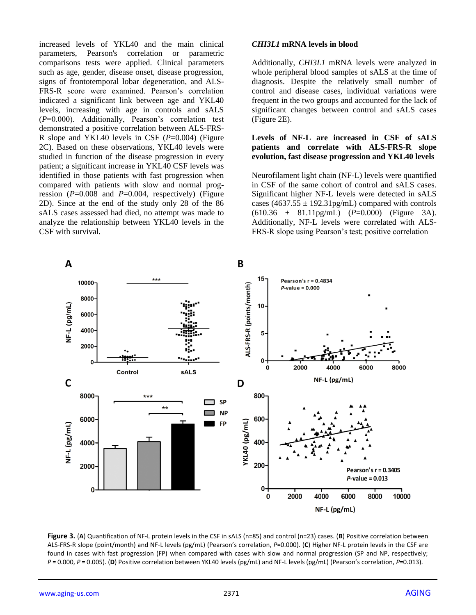increased levels of YKL40 and the main clinical parameters, Pearson's correlation or parametric comparisons tests were applied. Clinical parameters such as age, gender, disease onset, disease progression, signs of frontotemporal lobar degeneration, and ALS-FRS-R score were examined. Pearson's correlation indicated a significant link between age and YKL40 levels, increasing with age in controls and sALS (*P*=0.000). Additionally, Pearson's correlation test demonstrated a positive correlation between ALS-FRS-R slope and YKL40 levels in CSF (*P*=0.004) (Figure 2C). Based on these observations, YKL40 levels were studied in function of the disease progression in every patient; a significant increase in YKL40 CSF levels was identified in those patients with fast progression when compared with patients with slow and normal progression (*P*=0.008 and *P*=0.004, respectively) (Figure 2D). Since at the end of the study only 28 of the 86 sALS cases assessed had died, no attempt was made to analyze the relationship between YKL40 levels in the CSF with survival.

## *CHI3L1* **mRNA levels in blood**

Additionally, *CHI3L1* mRNA levels were analyzed in whole peripheral blood samples of sALS at the time of diagnosis. Despite the relatively small number of control and disease cases, individual variations were frequent in the two groups and accounted for the lack of significant changes between control and sALS cases (Figure 2E).

#### **Levels of NF-L are increased in CSF of sALS patients and correlate with ALS-FRS-R slope evolution, fast disease progression and YKL40 levels**

Neurofilament light chain (NF-L) levels were quantified in CSF of the same cohort of control and sALS cases. Significant higher NF-L levels were detected in sALS cases (4637.55  $\pm$  192.31pg/mL) compared with controls (610.36 ± 81.11pg/mL) (*P*=0.000) (Figure 3A). Additionally, NF-L levels were correlated with ALS-FRS-R slope using Pearson's test; positive correlation



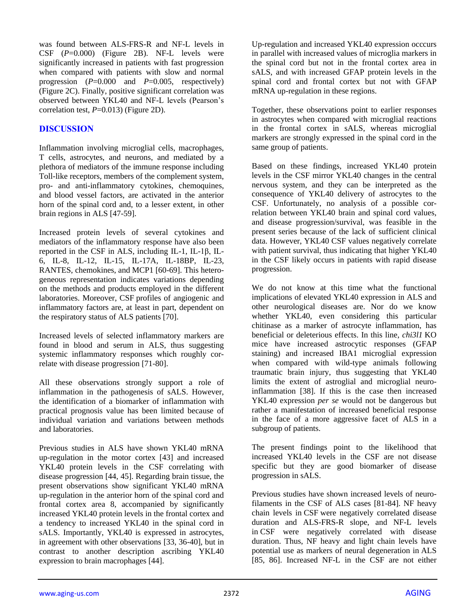was found between ALS-FRS-R and NF-L levels in CSF (*P*=0.000) (Figure 2B). NF-L levels were significantly increased in patients with fast progression when compared with patients with slow and normal progression (*P*=0.000 and *P*=0.005, respectively) (Figure 2C). Finally, positive significant correlation was observed between YKL40 and NF-L levels (Pearson's correlation test, *P*=0.013) (Figure 2D).

# **DISCUSSION**

Inflammation involving microglial cells, macrophages, T cells, astrocytes, and neurons, and mediated by a plethora of mediators of the immune response including Toll-like receptors, members of the complement system, pro- and anti-inflammatory cytokines, chemoquines, and blood vessel factors, are activated in the anterior horn of the spinal cord and, to a lesser extent, in other brain regions in ALS [47-59].

Increased protein levels of several cytokines and mediators of the inflammatory response have also been reported in the CSF in ALS, including IL-1, IL-1β, IL-6, IL-8, IL-12, IL-15, IL-17A, IL-18BP, IL-23, RANTES, chemokines, and MCP1 [60-69]. This heterogeneous representation indicates variations depending on the methods and products employed in the different laboratories. Moreover, CSF profiles of angiogenic and inflammatory factors are, at least in part, dependent on the respiratory status of ALS patients [70].

Increased levels of selected inflammatory markers are found in blood and serum in ALS, thus suggesting systemic inflammatory responses which roughly correlate with disease progression [71-80].

All these observations strongly support a role of inflammation in the pathogenesis of sALS. However, the identification of a biomarker of inflammation with practical prognosis value has been limited because of individual variation and variations between methods and laboratories.

Previous studies in ALS have shown YKL40 mRNA up-regulation in the motor cortex [43] and increased YKL40 protein levels in the CSF correlating with disease progression [44, 45]. Regarding brain tissue, the present observations show significant YKL40 mRNA up-regulation in the anterior horn of the spinal cord and frontal cortex area 8, accompanied by significantly increased YKL40 protein levels in the frontal cortex and a tendency to increased YKL40 in the spinal cord in sALS. Importantly, YKL40 is expressed in astrocytes, in agreement with other observations [33, 36-40], but in contrast to another description ascribing YKL40 expression to brain macrophages [44].

Up-regulation and increased YKL40 expression occcurs in parallel with increased values of microglia markers in the spinal cord but not in the frontal cortex area in sALS, and with increased GFAP protein levels in the spinal cord and frontal cortex but not with GFAP mRNA up-regulation in these regions.

Together, these observations point to earlier responses in astrocytes when compared with microglial reactions in the frontal cortex in sALS, whereas microglial markers are strongly expressed in the spinal cord in the same group of patients.

Based on these findings, increased YKL40 protein levels in the CSF mirror YKL40 changes in the central nervous system, and they can be interpreted as the consequence of YKL40 delivery of astrocytes to the CSF. Unfortunately, no analysis of a possible correlation between YKL40 brain and spinal cord values, and disease progression/survival, was feasible in the present series because of the lack of sufficient clinical data. However, YKL40 CSF values negatively correlate with patient survival, thus indicating that higher YKL40 in the CSF likely occurs in patients with rapid disease progression.

We do not know at this time what the functional implications of elevated YKL40 expression in ALS and other neurological diseases are. Nor do we know whether YKL40, even considering this particular chitinase as a marker of astrocyte inflammation, has beneficial or deleterious effects. In this line, *chi3l1* KO mice have increased astrocytic responses (GFAP staining) and increased IBA1 microglial expression when compared with wild-type animals following traumatic brain injury, thus suggesting that YKL40 limits the extent of astroglial and microglial neuroinflammation [38]. If this is the case then increased YKL40 expression *per se* would not be dangerous but rather a manifestation of increased beneficial response in the face of a more aggressive facet of ALS in a subgroup of patients.

The present findings point to the likelihood that increased YKL40 levels in the CSF are not disease specific but they are good biomarker of disease progression in sALS.

Previous studies have shown increased levels of neurofilaments in the CSF of ALS cases [81-84]. NF heavy chain levels in CSF were negatively correlated disease duration and ALS-FRS-R slope, and NF-L levels in CSF were negatively correlated with disease duration. Thus, NF heavy and light chain levels have potential use as markers of neural degeneration in ALS [85, 86]. Increased NF-L in the CSF are not either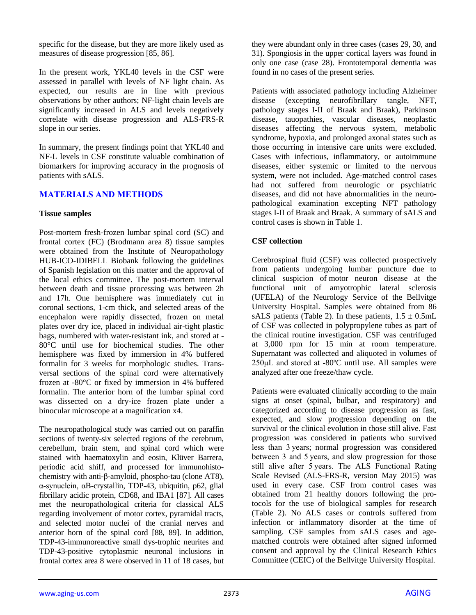specific for the disease, but they are more likely used as measures of disease progression [85, 86].

In the present work, YKL40 levels in the CSF were assessed in parallel with levels of NF light chain. As expected, our results are in line with previous observations by other authors; NF-light chain levels are significantly increased in ALS and levels negatively correlate with disease progression and ALS-FRS-R slope in our series.

In summary, the present findings point that YKL40 and NF-L levels in CSF constitute valuable combination of biomarkers for improving accuracy in the prognosis of patients with sALS.

# **MATERIALS AND METHODS**

## **Tissue samples**

Post-mortem fresh-frozen lumbar spinal cord (SC) and frontal cortex (FC) (Brodmann area 8) tissue samples were obtained from the Institute of Neuropathology HUB-ICO-IDIBELL Biobank following the guidelines of Spanish legislation on this matter and the approval of the local ethics committee. The post-mortem interval between death and tissue processing was between 2h and 17h. One hemisphere was immediately cut in coronal sections, 1-cm thick, and selected areas of the encephalon were rapidly dissected, frozen on metal plates over dry ice, placed in individual air-tight plastic bags, numbered with water-resistant ink, and stored at - 80°C until use for biochemical studies. The other hemisphere was fixed by immersion in 4% buffered formalin for 3 weeks for morphologic studies. Transversal sections of the spinal cord were alternatively frozen at -80°C or fixed by immersion in 4% buffered formalin. The anterior horn of the lumbar spinal cord was dissected on a dry-ice frozen plate under a binocular microscope at a magnification x4.

The neuropathological study was carried out on paraffin sections of twenty-six selected regions of the cerebrum, cerebellum, brain stem, and spinal cord which were stained with haematoxylin and eosin, Klüver Barrera, periodic acid shiff, and processed for immunohistochemistry with anti-β-amyloid, phospho-tau (clone AT8), α-synuclein, αB-crystallin, TDP-43, ubiquitin, p62, glial fibrillary acidic protein, CD68, and IBA1 [87]. All cases met the neuropathological criteria for classical ALS regarding involvement of motor cortex, pyramidal tracts, and selected motor nuclei of the cranial nerves and anterior horn of the spinal cord [88, 89]. In addition, TDP-43-immunoreactive small dys-trophic neurites and TDP-43-positive cytoplasmic neuronal inclusions in frontal cortex area 8 were observed in 11 of 18 cases, but

they were abundant only in three cases (cases 29, 30, and 31). Spongiosis in the upper cortical layers was found in only one case (case 28). Frontotemporal dementia was found in no cases of the present series.

Patients with associated pathology including Alzheimer disease (excepting neurofibrillary tangle, NFT, pathology stages I-II of Braak and Braak), Parkinson disease, tauopathies, vascular diseases, neoplastic diseases affecting the nervous system, metabolic syndrome, hypoxia, and prolonged axonal states such as those occurring in intensive care units were excluded. Cases with infectious, inflammatory, or autoimmune diseases, either systemic or limited to the nervous system, were not included. Age-matched control cases had not suffered from neurologic or psychiatric diseases, and did not have abnormalities in the neuropathological examination excepting NFT pathology stages I-II of Braak and Braak. A summary of sALS and control cases is shown in Table 1.

## **CSF collection**

Cerebrospinal fluid (CSF) was collected prospectively from patients undergoing lumbar puncture due to clinical suspicion of motor neuron disease at the functional unit of amyotrophic lateral sclerosis (UFELA) of the Neurology Service of the Bellvitge University Hospital. Samples were obtained from 86 sALS patients (Table 2). In these patients,  $1.5 \pm 0.5$ mL of CSF was collected in polypropylene tubes as part of the clinical routine investigation. CSF was centrifuged at 3,000 rpm for 15 min at room temperature. Supernatant was collected and aliquoted in volumes of 250μL and stored at -80ºC until use. All samples were analyzed after one freeze/thaw cycle.

Patients were evaluated clinically according to the main signs at onset (spinal, bulbar, and respiratory) and categorized according to disease progression as fast, expected, and slow progression depending on the survival or the clinical evolution in those still alive. Fast progression was considered in patients who survived less than 3 years; normal progression was considered between 3 and 5 years, and slow progression for those still alive after 5 years. The ALS Functional Rating Scale Revised (ALS-FRS-R, version May 2015) was used in every case. CSF from control cases was obtained from 21 healthy donors following the protocols for the use of biological samples for research (Table 2). No ALS cases or controls suffered from infection or inflammatory disorder at the time of sampling. CSF samples from sALS cases and agematched controls were obtained after signed informed consent and approval by the Clinical Research Ethics Committee (CEIC) of the Bellvitge University Hospital.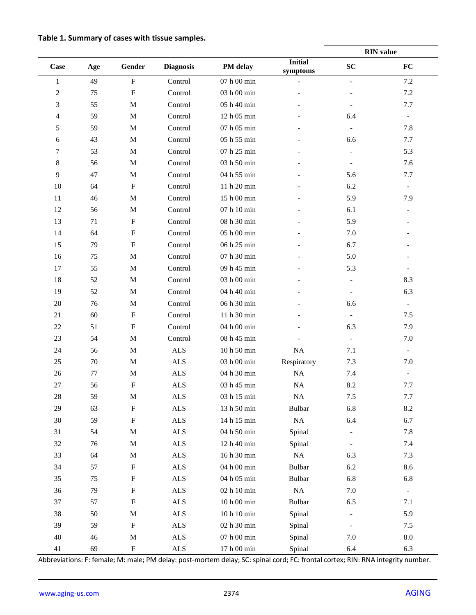| Table 1. Summary of cases with tissue samples. |  |  |  |  |  |  |
|------------------------------------------------|--|--|--|--|--|--|
|------------------------------------------------|--|--|--|--|--|--|

|                |        |                           |                             |                                    |                            | <b>RIN</b> value         |                              |  |
|----------------|--------|---------------------------|-----------------------------|------------------------------------|----------------------------|--------------------------|------------------------------|--|
| Case           | Age    | Gender                    | <b>Diagnosis</b>            | PM delay                           | <b>Initial</b><br>symptoms | SC                       | ${\bf FC}$                   |  |
| $\mathbf{1}$   | 49     | $\mathbf F$               | Control                     | $07$ h $00$ min                    |                            | $\blacksquare$           | $7.2\,$                      |  |
| $\overline{c}$ | 75     | $\rm F$                   | Control                     | 03 h 00 min                        |                            |                          | $7.2\,$                      |  |
| 3              | 55     | $\mathbf M$               | Control                     | 05 h 40 min                        |                            |                          | 7.7                          |  |
| 4              | 59     | $\mathbf M$               | Control                     | 12 h 05 min                        |                            | 6.4                      | $\qquad \qquad -$            |  |
| 5              | 59     | $\mathbf M$               | Control                     | 07 h 05 min                        |                            |                          | 7.8                          |  |
| 6              | 43     | $\mathbf M$               | Control                     | 05 h 55 min                        |                            | 6.6                      | 7.7                          |  |
| 7              | 53     | $\mathbf M$               | Control                     | 07 h 25 min                        |                            | $\overline{\phantom{a}}$ | 5.3                          |  |
| 8              | 56     | $\mathbf M$               | Control                     | 03 h 50 min                        |                            |                          | 7.6                          |  |
| 9              | 47     | $\mathbf M$               | Control                     | 04 h 55 min                        |                            | 5.6                      | 7.7                          |  |
| $10\,$         | 64     | $\rm F$                   | Control                     | 11 h 20 min                        |                            | 6.2                      | $\overline{\phantom{a}}$     |  |
| 11             | 46     | $\mathbf M$               | Control                     | 15 h 00 min                        |                            | 5.9                      | 7.9                          |  |
| 12             | 56     | $\mathbf M$               | Control                     | 07 h 10 min                        |                            | 6.1                      |                              |  |
| 13             | 71     | $\mathbf F$               | Control                     | 08 h 30 min                        |                            | 5.9                      |                              |  |
| 14             | 64     | $\rm F$                   | Control                     | 05 h 00 min                        |                            | 7.0                      |                              |  |
| 15             | 79     | ${\bf F}$                 | Control                     | 06 h 25 min                        |                            | 6.7                      |                              |  |
| 16             | 75     | $\mathbf M$               | Control                     | 07 h 30 min                        |                            | 5.0                      |                              |  |
| 17             | 55     | $\mathbf M$               | Control                     | 09 h 45 min                        |                            | 5.3                      | $\overline{\phantom{a}}$     |  |
| 18             | 52     | $\mathbf M$               | Control                     | 03 h 00 min                        |                            |                          | 8.3                          |  |
| 19             | 52     | $\mathbf M$               | Control                     | 04 h 40 min                        |                            |                          | 6.3                          |  |
| $20\,$         | 76     | M                         | Control                     | 06 h 30 min                        |                            | 6.6                      | $\overline{\phantom{0}}$     |  |
| 21             | 60     | ${\bf F}$                 | Control                     | 11 h 30 min                        |                            | $\overline{\phantom{a}}$ | 7.5                          |  |
| $22\,$         | 51     | $\mathbf F$               | Control                     | 04 h 00 min                        |                            | 6.3                      | 7.9                          |  |
| 23             | 54     | $\mathbf M$               | Control                     | 08 h 45 min                        |                            | $\overline{\phantom{a}}$ | 7.0                          |  |
| 24             | 56     | $\mathbf M$               | <b>ALS</b>                  | 10 h 50 min                        | $\rm NA$                   | 7.1                      | $\overline{\phantom{a}}$     |  |
| 25             | 70     | $\mathbf M$               | <b>ALS</b>                  | 03 h 00 min                        | Respiratory                | 7.3                      | 7.0                          |  |
| 26             | 77     | $\mathbf M$               | <b>ALS</b>                  | 04 h 30 min                        | $\rm NA$                   | 7.4                      | $\qquad \qquad \blacksquare$ |  |
| 27             | 56     | ${\bf F}$                 | <b>ALS</b>                  | 03 h 45 min                        | NA                         | 8.2                      | 7.7                          |  |
| $28\,$         | 59     | M                         | $\ensuremath{\mathbf{ALS}}$ | $03$ h $15$ min                    | $\rm NA$                   | 7.5                      | 7.7                          |  |
| 29             | 63     | ${\bf F}$                 | $\ensuremath{\mathbf{ALS}}$ | 13 h 50 min                        | <b>Bulbar</b>              | 6.8                      | $8.2\,$                      |  |
| $30\,$         | 59     | ${\bf F}$                 | $\ensuremath{\mathbf{ALS}}$ | 14 h 15 min                        | $\rm NA$                   | 6.4                      | 6.7                          |  |
| 31             | 54     | $\mathbf M$               | $\ensuremath{\mathbf{ALS}}$ | 04 h 50 min                        | Spinal                     |                          | 7.8                          |  |
| 32             | 76     | $\mathbf M$               | $\ensuremath{\mathbf{ALS}}$ | 12 h 40 min                        | Spinal                     |                          | 7.4                          |  |
| 33             | 64     | $\mathbf M$               | $\ensuremath{\mathbf{ALS}}$ | 16 h 30 min                        | $\rm NA$                   | 6.3                      | 7.3                          |  |
| 34             | 57     | ${\bf F}$                 | $\ensuremath{\mathsf{ALS}}$ | 04 h 00 min                        | <b>Bulbar</b>              | 6.2                      | 8.6                          |  |
| 35             | 75     | ${\bf F}$                 | $\ensuremath{\mathbf{ALS}}$ | 04 h 05 min                        | <b>Bulbar</b>              | 6.8                      | 6.8                          |  |
| 36             | 79     | $\boldsymbol{\mathrm{F}}$ | $\ensuremath{\mathbf{ALS}}$ | $02$ h $10$ min                    | $\rm NA$                   | 7.0                      | $\overline{\phantom{a}}$     |  |
| 37             | 57     | $\boldsymbol{\mathrm{F}}$ | $\ensuremath{\mathbf{ALS}}$ | $10\ \mathrm{h}\ 00\ \mathrm{min}$ | <b>Bulbar</b>              | 6.5                      | 7.1                          |  |
| 38             | $50\,$ | $\mathbf M$               | $\ensuremath{\mathsf{ALS}}$ | $10\ \mathrm{h}\ 10\ \mathrm{min}$ | Spinal                     |                          | 5.9                          |  |
| 39             | 59     | ${\bf F}$                 | $\ensuremath{\mathbf{ALS}}$ | 02 h 30 min                        | Spinal                     |                          | 7.5                          |  |
| $40\,$         | $46\,$ | $\mathbf M$               | $\ensuremath{\mathbf{ALS}}$ | $07$ h $00$ min                    | Spinal                     | 7.0                      | $\ \, 8.0$                   |  |
| $41\,$         | 69     | ${\bf F}$                 | $\ensuremath{\mathbf{ALS}}$ | 17 h 00 min                        | Spinal                     | 6.4                      | 6.3                          |  |

Abbreviations: F: female; M: male; PM delay: post-mortem delay; SC: spinal cord; FC: frontal cortex; RIN: RNA integrity number.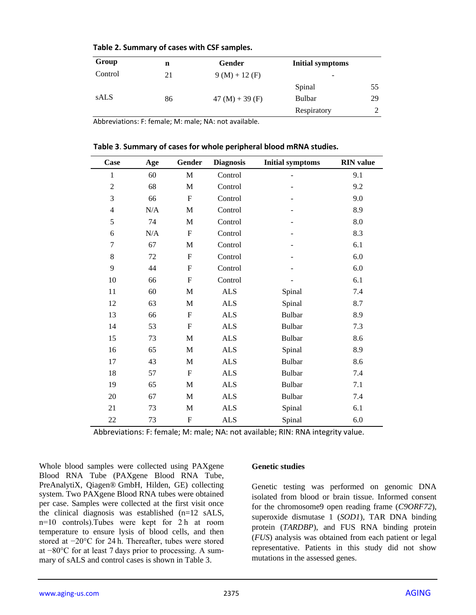| Group       | n  | Gender            | <b>Initial symptoms</b> |    |
|-------------|----|-------------------|-------------------------|----|
| Control     | 21 | $9(M) + 12(F)$    |                         |    |
|             |    |                   | Spinal                  | 55 |
| <b>sALS</b> | 86 | $47 (M) + 39 (F)$ | Bulbar                  | 29 |
|             |    |                   | Respiratory             |    |

#### **Table 2. Summary of cases with CSF samples.**

Abbreviations: F: female; M: male; NA: not available.

| Case           | Age | Gender         | <b>Diagnosis</b>            | <b>Initial symptoms</b> | <b>RIN</b> value   |
|----------------|-----|----------------|-----------------------------|-------------------------|--------------------|
| 1              | 60  | $\mathbf{M}$   | Control                     | ۰                       | 9.1                |
| $\overline{2}$ | 68  | $\mathbf{M}$   | Control                     |                         | 9.2                |
| 3              | 66  | $\mathbf F$    | Control                     |                         | 9.0                |
| $\overline{4}$ | N/A | M              | Control                     |                         | 8.9                |
| 5              | 74  | M              | Control                     |                         | $\boldsymbol{8.0}$ |
| 6              | N/A | $\mathbf F$    | Control                     |                         | 8.3                |
| $\tau$         | 67  | $\mathbf{M}$   | Control                     |                         | 6.1                |
| 8              | 72  | $\mathbf F$    | Control                     |                         | 6.0                |
| 9              | 44  | $\mathbf{F}$   | Control                     |                         | 6.0                |
| $10\,$         | 66  | F              | Control                     |                         | 6.1                |
| 11             | 60  | $\mathbf{M}$   | <b>ALS</b>                  | Spinal                  | 7.4                |
| 12             | 63  | M              | $\ensuremath{\mathbf{ALS}}$ | Spinal                  | 8.7                |
| 13             | 66  | $\overline{F}$ | ALS                         | <b>Bulbar</b>           | 8.9                |
| 14             | 53  | $\mathbf{F}$   | <b>ALS</b>                  | <b>Bulbar</b>           | 7.3                |
| 15             | 73  | $\mathbf{M}$   | <b>ALS</b>                  | <b>Bulbar</b>           | 8.6                |
| 16             | 65  | $\mathbf M$    | ALS                         | Spinal                  | 8.9                |
| 17             | 43  | M              | $\ensuremath{\mathbf{ALS}}$ | <b>Bulbar</b>           | 8.6                |
| 18             | 57  | $\mathbf{F}$   | <b>ALS</b>                  | <b>Bulbar</b>           | 7.4                |
| 19             | 65  | M              | <b>ALS</b>                  | <b>Bulbar</b>           | 7.1                |
| 20             | 67  | $\mathbf{M}$   | <b>ALS</b>                  | <b>Bulbar</b>           | 7.4                |
| 21             | 73  | M              | $\ensuremath{\mathbf{ALS}}$ | Spinal                  | 6.1                |
| 22             | 73  | $\overline{F}$ | <b>ALS</b>                  | Spinal                  | 6.0                |

**Table 3**. **Summary of cases for whole peripheral blood mRNA studies.**

Abbreviations: F: female; M: male; NA: not available; RIN: RNA integrity value.

Whole blood samples were collected using PAXgene Blood RNA Tube (PAXgene Blood RNA Tube, PreAnalytiX, Qiagen® GmbH, Hilden, GE) collecting system. Two PAXgene Blood RNA tubes were obtained per case. Samples were collected at the first visit once the clinical diagnosis was established (n=12 sALS, n=10 controls).Tubes were kept for 2 h at room temperature to ensure lysis of blood cells, and then stored at −20°C for 24 h. Thereafter, tubes were stored at −80°C for at least 7 days prior to processing. A summary of sALS and control cases is shown in Table 3.

#### **Genetic studies**

Genetic testing was performed on genomic DNA isolated from blood or brain tissue. Informed consent for the chromosome9 open reading frame (*C9ORF72*), superoxide dismutase 1 (*SOD1*), TAR DNA binding protein (*TARDBP*), and FUS RNA binding protein (*FUS*) analysis was obtained from each patient or legal representative. Patients in this study did not show mutations in the assessed genes.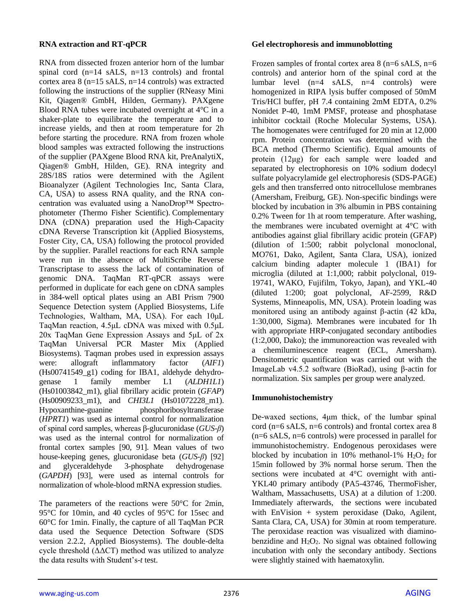## **RNA extraction and RT-qPCR**

RNA from dissected frozen anterior horn of the lumbar spinal cord (n=14 sALS, n=13 controls) and frontal cortex area 8 (n=15 sALS, n=14 controls) was extracted following the instructions of the supplier (RNeasy Mini Kit, Qiagen® GmbH, Hilden, Germany). PAXgene Blood RNA tubes were incubated overnight at 4°C in a shaker-plate to equilibrate the temperature and to increase yields, and then at room temperature for 2h before starting the procedure. RNA from frozen whole blood samples was extracted following the instructions of the supplier (PAXgene Blood RNA kit, PreAnalytiX, Qiagen® GmbH, Hilden, GE). RNA integrity and 28S/18S ratios were determined with the Agilent Bioanalyzer (Agilent Technologies Inc, Santa Clara, CA, USA) to assess RNA quality, and the RNA concentration was evaluated using a NanoDrop™ Spectrophotometer (Thermo Fisher Scientific). Complementary DNA (cDNA) preparation used the High-Capacity cDNA Reverse Transcription kit (Applied Biosystems, Foster City, CA, USA) following the protocol provided by the supplier. Parallel reactions for each RNA sample were run in the absence of MultiScribe Reverse Transcriptase to assess the lack of contamination of genomic DNA. TaqMan RT-qPCR assays were performed in duplicate for each gene on cDNA samples in 384-well optical plates using an ABI Prism 7900 Sequence Detection system (Applied Biosystems, Life Technologies, Waltham, MA, USA). For each 10μL TaqMan reaction, 4.5μL cDNA was mixed with 0.5μL 20x TaqMan Gene Expression Assays and 5μL of 2x TaqMan Universal PCR Master Mix (Applied Biosystems). Taqman probes used in expression assays were: allograft inflammatory factor (*AIF1*) (Hs00741549\_g1) coding for IBA1, aldehyde dehydrogenase 1 family member L1 (*ALDH1L1*) (Hs01003842\_m1), glial fibrillary acidic protein (*GFAP*) (Hs00909233\_m1), and *CHI3L1* (Hs01072228\_m1). Hypoxanthine-guanine phosphoribosyltransferase (*HPRT1*) was used as internal control for normalization of spinal cord samples, whereas β-glucuronidase (*GUS-β*) was used as the internal control for normalization of frontal cortex samples [90, 91]. Mean values of two house-keeping genes, glucuronidase beta (*GUS-β*) [92] and glyceraldehyde 3-phosphate dehydrogenase (*GAPDH*) [93], were used as internal controls for normalization of whole-blood mRNA expression studies.

The parameters of the reactions were 50°C for 2min, 95°C for 10min, and 40 cycles of 95°C for 15sec and 60°C for 1min. Finally, the capture of all TaqMan PCR data used the Sequence Detection Software (SDS version 2.2.2, Applied Biosystems). The double-delta cycle threshold  $(\Delta \Delta CT)$  method was utilized to analyze the data results with Student's-*t* test.

## **Gel electrophoresis and immunoblotting**

Frozen samples of frontal cortex area  $8$  (n=6 sALS, n=6 controls) and anterior horn of the spinal cord at the lumbar level  $(n=4 \text{ sALS}, n=4 \text{ controls})$  were homogenized in RIPA lysis buffer composed of 50mM Tris/HCl buffer, pH 7.4 containing 2mM EDTA, 0.2% Nonidet P-40, 1mM PMSF, protease and phosphatase inhibitor cocktail (Roche Molecular Systems, USA). The homogenates were centrifuged for 20 min at 12,000 rpm. Protein concentration was determined with the BCA method (Thermo Scientific). Equal amounts of protein (12μg) for each sample were loaded and separated by electrophoresis on 10% sodium dodecyl sulfate polyacrylamide gel electrophoresis (SDS-PAGE) gels and then transferred onto nitrocellulose membranes (Amersham, Freiburg, GE). Non-specific bindings were blocked by incubation in 3% albumin in PBS containing 0.2% Tween for 1h at room temperature. After washing, the membranes were incubated overnight at 4°C with antibodies against glial fibrillary acidic protein (GFAP) (dilution of 1:500; rabbit polyclonal monoclonal, MO761, Dako, Agilent, Santa Clara, USA), ionized calcium binding adapter molecule 1 (IBA1) for microglia (diluted at 1:1,000; rabbit polyclonal, 019- 19741, WAKO, Fujifilm, Tokyo, Japan), and YKL-40 (diluted 1:200; goat polyclonal, AF-2599, R&D Systems, Minneapolis, MN, USA). Protein loading was monitored using an antibody against β-actin (42 kDa, 1:30,000, Sigma). Membranes were incubated for 1h with appropriate HRP-conjugated secondary antibodies (1:2,000, Dako); the immunoreaction was revealed with a chemiluminescence reagent (ECL, Amersham). Densitometric quantification was carried out with the ImageLab v4.5.2 software (BioRad), using β-actin for normalization. Six samples per group were analyzed.

# **Immunohistochemistry**

De-waxed sections, 4μm thick, of the lumbar spinal cord (n=6 sALS, n=6 controls) and frontal cortex area 8 (n=6 sALS, n=6 controls) were processed in parallel for immunohistochemistry. Endogenous peroxidases were blocked by incubation in 10% methanol-1%  $H_2O_2$  for 15min followed by 3% normal horse serum. Then the sections were incubated at 4°C overnight with anti-YKL40 primary antibody (PA5-43746, ThermoFisher, Waltham, Massachusetts, USA) at a dilution of 1:200. Immediately afterwards, the sections were incubated with EnVision + system peroxidase (Dako, Agilent, Santa Clara, CA, USA) for 30min at room temperature. The peroxidase reaction was visualized with diaminobenzidine and  $H_2O_2$ . No signal was obtained following incubation with only the secondary antibody. Sections were slightly stained with haematoxylin.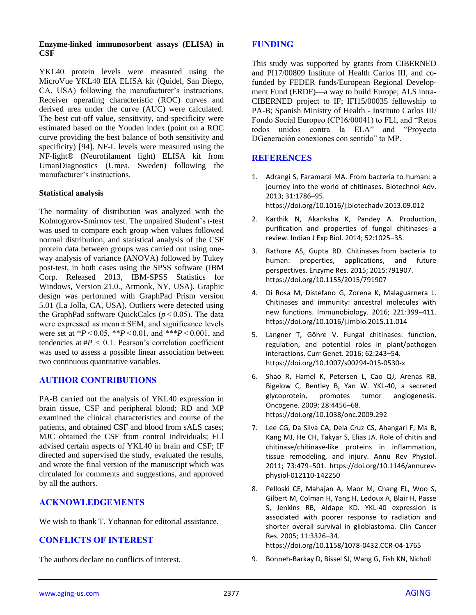## **Enzyme-linked immunosorbent assays (ELISA) in CSF**

YKL40 protein levels were measured using the MicroVue YKL40 EIA ELISA kit (Quidel, San Diego, CA, USA) following the manufacturer's instructions. Receiver operating characteristic (ROC) curves and derived area under the curve (AUC) were calculated. The best cut-off value, sensitivity, and specificity were estimated based on the Youden index (point on a ROC curve providing the best balance of both sensitivity and specificity) [94]. NF-L levels were measured using the NF-light® (Neurofilament light) ELISA kit from UmanDiagnostics (Umea, Sweden) following the manufacturer's instructions.

## **Statistical analysis**

The normality of distribution was analyzed with the Kolmogorov-Smirnov test. The unpaired Student's *t*-test was used to compare each group when values followed normal distribution, and statistical analysis of the CSF protein data between groups was carried out using oneway analysis of variance (ANOVA) followed by Tukey post-test, in both cases using the SPSS software (IBM Corp. Released 2013, IBM-SPSS Statistics for Windows, Version 21.0., Armonk, NY, USA). Graphic design was performed with GraphPad Prism version 5.01 (La Jolla, CA, USA). Outliers were detected using the GraphPad software QuickCalcs (*p* < 0.05). The data were expressed as mean  $\pm$  SEM, and significance levels were set at \**P* < 0.05, \*\**P* < 0.01, and \*\*\**P* < 0.001, and tendencies at  $#P < 0.1$ . Pearson's correlation coefficient was used to assess a possible linear association between two continuous quantitative variables.

# **AUTHOR CONTRIBUTIONS**

PA-B carried out the analysis of YKL40 expression in brain tissue, CSF and peripheral blood; RD and MP examined the clinical characteristics and course of the patients, and obtained CSF and blood from sALS cases; MJC obtained the CSF from control individuals; FLl advised certain aspects of YKL40 in brain and CSF; IF directed and supervised the study, evaluated the results, and wrote the final version of the manuscript which was circulated for comments and suggestions, and approved by all the authors.

# **ACKNOWLEDGEMENTS**

We wish to thank T. Yohannan for editorial assistance.

# **CONFLICTS OF INTEREST**

The authors declare no conflicts of interest.

## **FUNDING**

This study was supported by grants from CIBERNED and PI17/00809 Institute of Health Carlos III, and cofunded by FEDER funds/European Regional Development Fund (ERDF)—a way to build Europe; ALS intra-CIBERNED project to IF; IFI15/00035 fellowship to PA-B; Spanish Ministry of Health - Instituto Carlos III/ Fondo Social Europeo (CP16/00041) to FLl, and "Retos todos unidos contra la ELA" and "Proyecto DGeneración conexiones con sentido" to MP.

# **REFERENCES**

- 1. Adrangi S, Faramarzi MA. From bacteria to human: a journey into the world of chitinases. Biotechnol Adv. 2013; 31:1786–95. <https://doi.org/10.1016/j.biotechadv.2013.09.012>
- 2. Karthik N, Akanksha K, Pandey A. Production, purification and properties of fungal chitinases--a review. Indian J Exp Biol. 2014; 52:1025–35.
- 3. Rathore AS, Gupta RD. Chitinases from bacteria to human: properties, applications, and future perspectives. Enzyme Res. 2015; 2015:791907. <https://doi.org/10.1155/2015/791907>
- 4. Di Rosa M, Distefano G, Zorena K, Malaguarnera L. Chitinases and immunity: ancestral molecules with new functions. Immunobiology. 2016; 221:399–411. <https://doi.org/10.1016/j.imbio.2015.11.014>
- 5. Langner T, Göhre V. Fungal chitinases: function, regulation, and potential roles in plant/pathogen interactions. Curr Genet. 2016; 62:243–54. <https://doi.org/10.1007/s00294-015-0530-x>
- 6. Shao R, Hamel K, Petersen L, Cao QJ, Arenas RB, Bigelow C, Bentley B, Yan W. YKL-40, a secreted glycoprotein, promotes tumor angiogenesis. Oncogene. 2009; 28:4456–68. <https://doi.org/10.1038/onc.2009.292>
- 7. Lee CG, Da Silva CA, Dela Cruz CS, Ahangari F, Ma B, Kang MJ, He CH, Takyar S, Elias JA. Role of chitin and chitinase/chitinase-like proteins in inflammation, tissue remodeling, and injury. Annu Rev Physiol. 2011; 73:479–501. [https://doi.org/10.1146/annurev](https://doi.org/10.1146/annurev-physiol-012110-142250)[physiol-012110-142250](https://doi.org/10.1146/annurev-physiol-012110-142250)
- 8. Pelloski CE, Mahajan A, Maor M, Chang EL, Woo S, Gilbert M, Colman H, Yang H, Ledoux A, Blair H, Passe S, Jenkins RB, Aldape KD. YKL-40 expression is associated with poorer response to radiation and shorter overall survival in glioblastoma. Clin Cancer Res. 2005; 11:3326–34.

<https://doi.org/10.1158/1078-0432.CCR-04-1765>

9. Bonneh-Barkay D, Bissel SJ, Wang G, Fish KN, Nicholl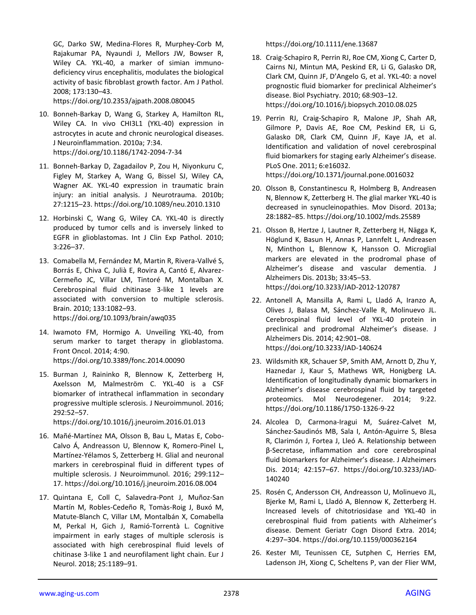GC, Darko SW, Medina-Flores R, Murphey-Corb M, Rajakumar PA, Nyaundi J, Mellors JW, Bowser R, Wiley CA. YKL-40, a marker of simian immunodeficiency virus encephalitis, modulates the biological activity of basic fibroblast growth factor. Am J Pathol. 2008; 173:130–43.

<https://doi.org/10.2353/ajpath.2008.080045>

- 10. Bonneh-Barkay D, Wang G, Starkey A, Hamilton RL, Wiley CA. In vivo CHI3L1 (YKL-40) expression in astrocytes in acute and chronic neurological diseases. J Neuroinflammation. 2010a; 7:34. <https://doi.org/10.1186/1742-2094-7-34>
- 11. Bonneh-Barkay D, Zagadailov P, Zou H, Niyonkuru C, Figley M, Starkey A, Wang G, Bissel SJ, Wiley CA, Wagner AK. YKL-40 expression in traumatic brain injury: an initial analysis. J Neurotrauma. 2010b; 27:1215–23[. https://doi.org/10.1089/neu.2010.1310](https://doi.org/10.1089/neu.2010.1310)
- 12. Horbinski C, Wang G, Wiley CA. YKL-40 is directly produced by tumor cells and is inversely linked to EGFR in glioblastomas. Int J Clin Exp Pathol. 2010; 3:226–37.
- 13. Comabella M, Fernández M, Martin R, Rivera-Vallvé S, Borrás E, Chiva C, Julià E, Rovira A, Cantó E, Alvarez-Cermeño JC, Villar LM, Tintoré M, Montalban X. Cerebrospinal fluid chitinase 3-like 1 levels are associated with conversion to multiple sclerosis. Brain. 2010; 133:1082–93. <https://doi.org/10.1093/brain/awq035>
- 14. Iwamoto FM, Hormigo A. Unveiling YKL‐40, from serum marker to target therapy in glioblastoma. Front Oncol. 2014; 4:90. <https://doi.org/10.3389/fonc.2014.00090>
- 15. Burman J, Raininko R, Blennow K, Zetterberg H, Axelsson M, Malmeström C. YKL-40 is a CSF biomarker of intrathecal inflammation in secondary progressive multiple sclerosis. J Neuroimmunol. 2016; 292:52–57.

<https://doi.org/10.1016/j.jneuroim.2016.01.013>

- 16. Mañé-Martínez MA, Olsson B, Bau L, Matas E, Cobo-Calvo Á, Andreasson U, Blennow K, Romero-Pinel L, Martínez-Yélamos S, Zetterberg H. Glial and neuronal markers in cerebrospinal fluid in different types of multiple sclerosis. J Neuroimmunol. 2016; 299:112– 17[. https://doi.org/10.1016/j.jneuroim.2016.08.004](https://doi.org/10.1016/j.jneuroim.2016.08.004)
- 17. Quintana E, Coll C, Salavedra-Pont J, Muñoz-San Martín M, Robles-Cedeño R, Tomàs-Roig J, Buxó M, Matute-Blanch C, Villar LM, Montalbán X, Comabella M, Perkal H, Gich J, Ramió-Torrentà L. Cognitive impairment in early stages of multiple sclerosis is associated with high cerebrospinal fluid levels of chitinase 3-like 1 and neurofilament light chain. Eur J Neurol. 2018; 25:1189–91.

<https://doi.org/10.1111/ene.13687>

- 18. Craig-Schapiro R, Perrin RJ, Roe CM, Xiong C, Carter D, Cairns NJ, Mintun MA, Peskind ER, Li G, Galasko DR, Clark CM, Quinn JF, D'Angelo G, et al. YKL-40: a novel prognostic fluid biomarker for preclinical Alzheimer's disease. Biol Psychiatry. 2010; 68:903–12. <https://doi.org/10.1016/j.biopsych.2010.08.025>
- 19. Perrin RJ, Craig-Schapiro R, Malone JP, Shah AR, Gilmore P, Davis AE, Roe CM, Peskind ER, Li G, Galasko DR, Clark CM, Quinn JF, Kaye JA, et al. Identification and validation of novel cerebrospinal fluid biomarkers for staging early Alzheimer's disease. PLoS One. 2011; 6:e16032. <https://doi.org/10.1371/journal.pone.0016032>
- 20. Olsson B, Constantinescu R, Holmberg B, Andreasen N, Blennow K, Zetterberg H. The glial marker YKL-40 is decreased in synucleinopathies. Mov Disord. 2013a; 28:1882–85.<https://doi.org/10.1002/mds.25589>
- 21. Olsson B, Hertze J, Lautner R, Zetterberg H, Nägga K, Höglund K, Basun H, Annas P, Lannfelt L, Andreasen N, Minthon L, Blennow K, Hansson O. Microglial markers are elevated in the prodromal phase of Alzheimer's disease and vascular dementia. J Alzheimers Dis. 2013b; 33:45–53. <https://doi.org/10.3233/JAD-2012-120787>
- 22. Antonell A, Mansilla A, Rami L, Lladó A, Iranzo A, Olives J, Balasa M, Sánchez-Valle R, Molinuevo JL. Cerebrospinal fluid level of YKL-40 protein in preclinical and prodromal Alzheimer's disease. J Alzheimers Dis. 2014; 42:901–08. <https://doi.org/10.3233/JAD-140624>
- 23. Wildsmith KR, Schauer SP, Smith AM, Arnott D, Zhu Y, Haznedar J, Kaur S, Mathews WR, Honigberg LA. Identification of longitudinally dynamic biomarkers in Alzheimer's disease cerebrospinal fluid by targeted proteomics. Mol Neurodegener. 2014; 9:22. <https://doi.org/10.1186/1750-1326-9-22>
- 24. Alcolea D, Carmona-Iragui M, Suárez-Calvet M, Sánchez-Saudinós MB, Sala I, Antón-Aguirre S, Blesa R, Clarimón J, Fortea J, Lleó A. Relationship between β-Secretase, inflammation and core cerebrospinal fluid biomarkers for Alzheimer's disease. J Alzheimers Dis. 2014; 42:157–67. [https://doi.org/10.3233/JAD-](https://doi.org/10.3233/JAD-140240)[140240](https://doi.org/10.3233/JAD-140240)
- 25. Rosén C, Andersson CH, Andreasson U, Molinuevo JL, Bjerke M, Rami L, Lladó A, Blennow K, Zetterberg H. Increased levels of chitotriosidase and YKL-40 in cerebrospinal fluid from patients with Alzheimer's disease. Dement Geriatr Cogn Disord Extra. 2014; 4:297–304.<https://doi.org/10.1159/000362164>
- 26. Kester MI, Teunissen CE, Sutphen C, Herries EM, Ladenson JH, Xiong C, Scheltens P, van der Flier WM,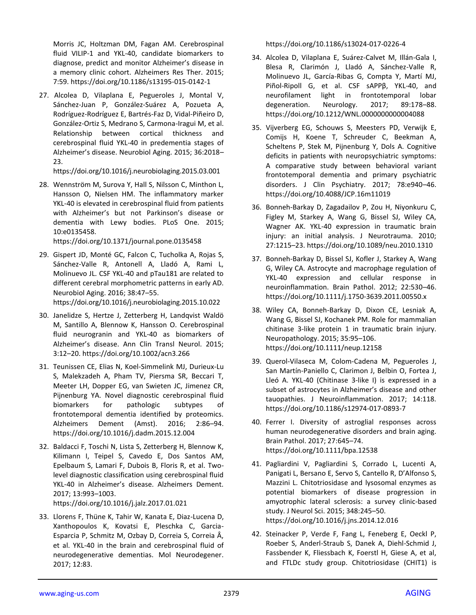Morris JC, Holtzman DM, Fagan AM. Cerebrospinal fluid VILIP-1 and YKL-40, candidate biomarkers to diagnose, predict and monitor Alzheimer's disease in a memory clinic cohort. Alzheimers Res Ther. 2015; 7:59.<https://doi.org/10.1186/s13195-015-0142-1>

27. Alcolea D, Vilaplana E, Pegueroles J, Montal V, Sánchez-Juan P, González-Suárez A, Pozueta A, Rodríguez-Rodríguez E, Bartrés-Faz D, Vidal-Piñeiro D, González-Ortiz S, Medrano S, Carmona-Iragui M, et al. Relationship between cortical thickness and cerebrospinal fluid YKL-40 in predementia stages of Alzheimer's disease. Neurobiol Aging. 2015; 36:2018– 23.

<https://doi.org/10.1016/j.neurobiolaging.2015.03.001>

28. Wennström M, Surova Y, Hall S, Nilsson C, Minthon L, Hansson O, Nielsen HM. The inflammatory marker YKL-40 is elevated in cerebrospinal fluid from patients with Alzheimer's but not Parkinson's disease or dementia with Lewy bodies. PLoS One. 2015; 10:e0135458.

<https://doi.org/10.1371/journal.pone.0135458>

- 29. Gispert JD, Monté GC, Falcon C, Tucholka A, Rojas S, Sánchez-Valle R, Antonell A, Lladó A, Rami L, Molinuevo JL. CSF YKL-40 and pTau181 are related to different cerebral morphometric patterns in early AD. Neurobiol Aging. 2016; 38:47–55. <https://doi.org/10.1016/j.neurobiolaging.2015.10.022>
- 30. Janelidze S, Hertze J, Zetterberg H, Landqvist Waldö M, Santillo A, Blennow K, Hansson O. Cerebrospinal fluid neurogranin and YKL-40 as biomarkers of Alzheimer's disease. Ann Clin Transl Neurol. 2015; 3:12–20.<https://doi.org/10.1002/acn3.266>
- 31. Teunissen CE, Elias N, Koel-Simmelink MJ, Durieux-Lu S, Malekzadeh A, Pham TV, Piersma SR, Beccari T, Meeter LH, Dopper EG, van Swieten JC, Jimenez CR, Pijnenburg YA. Novel diagnostic cerebrospinal fluid biomarkers for pathologic subtypes of frontotemporal dementia identified by proteomics. Alzheimers Dement (Amst). 2016; 2:86–94. <https://doi.org/10.1016/j.dadm.2015.12.004>
- 32. Baldacci F, Toschi N, Lista S, Zetterberg H, Blennow K, Kilimann I, Teipel S, Cavedo E, Dos Santos AM, Epelbaum S, Lamari F, Dubois B, Floris R, et al. Twolevel diagnostic classification using cerebrospinal fluid YKL-40 in Alzheimer's disease. Alzheimers Dement. 2017; 13:993–1003.

<https://doi.org/10.1016/j.jalz.2017.01.021>

33. Llorens F, Thüne K, Tahir W, Kanata E, Diaz-Lucena D, Xanthopoulos K, Kovatsi E, Pleschka C, Garcia-Esparcia P, Schmitz M, Ozbay D, Correia S, Correia Â, et al. YKL-40 in the brain and cerebrospinal fluid of neurodegenerative dementias. Mol Neurodegener. 2017; 12:83.

https://doi.org/10.1186/s13024-017-0226-4

- 34. Alcolea D, Vilaplana E, Suárez-Calvet M, Illán-Gala I, Blesa R, Clarimón J, Lladó A, Sánchez-Valle R, Molinuevo JL, García-Ribas G, Compta Y, Martí MJ, Piñol-Ripoll G, et al. CSF sAPPβ, YKL-40, and neurofilament light in frontotemporal lobar degeneration. Neurology. 2017; 89:178–88. <https://doi.org/10.1212/WNL.0000000000004088>
- 35. Vijverberg EG, Schouws S, Meesters PD, Verwijk E, Comijs H, Koene T, Schreuder C, Beekman A, Scheltens P, Stek M, Pijnenburg Y, Dols A. Cognitive deficits in patients with neuropsychiatric symptoms: A comparative study between behavioral variant frontotemporal dementia and primary psychiatric disorders. J Clin Psychiatry. 2017; 78:e940–46. <https://doi.org/10.4088/JCP.16m11019>
- 36. Bonneh-Barkay D, Zagadailov P, Zou H, Niyonkuru C, Figley M, Starkey A, Wang G, Bissel SJ, Wiley CA, Wagner AK. YKL-40 expression in traumatic brain injury: an initial analysis. J Neurotrauma. 2010; 27:1215–23.<https://doi.org/10.1089/neu.2010.1310>
- 37. Bonneh-Barkay D, Bissel SJ, Kofler J, Starkey A, Wang G, Wiley CA. Astrocyte and macrophage regulation of YKL-40 expression and cellular response in neuroinflammation. Brain Pathol. 2012; 22:530–46. <https://doi.org/10.1111/j.1750-3639.2011.00550.x>
- 38. Wiley CA, Bonneh-Barkay D, Dixon CE, Lesniak A, Wang G, Bissel SJ, Kochanek PM. Role for mammalian chitinase 3-like protein 1 in traumatic brain injury. Neuropathology. 2015; 35:95–106. <https://doi.org/10.1111/neup.12158>
- 39. Querol-Vilaseca M, Colom-Cadena M, Pegueroles J, San Martín-Paniello C, Clarimon J, Belbin O, Fortea J, Lleó A. YKL-40 (Chitinase 3-like I) is expressed in a subset of astrocytes in Alzheimer's disease and other tauopathies. J Neuroinflammation. 2017; 14:118. <https://doi.org/10.1186/s12974-017-0893-7>
- 40. Ferrer I. Diversity of astroglial responses across human neurodegenerative disorders and brain aging. Brain Pathol. 2017; 27:645–74. <https://doi.org/10.1111/bpa.12538>
- 41. Pagliardini V, Pagliardini S, Corrado L, Lucenti A, Panigati L, Bersano E, Servo S, Cantello R, D'Alfonso S, Mazzini L. Chitotriosidase and lysosomal enzymes as potential biomarkers of disease progression in amyotrophic lateral sclerosis: a survey clinic-based study. J Neurol Sci. 2015; 348:245–50. <https://doi.org/10.1016/j.jns.2014.12.016>
- 42. Steinacker P, Verde F, Fang L, Feneberg E, Oeckl P, Roeber S, Anderl-Straub S, Danek A, Diehl-Schmid J, Fassbender K, Fliessbach K, Foerstl H, Giese A, et al, and FTLDc study group. Chitotriosidase (CHIT1) is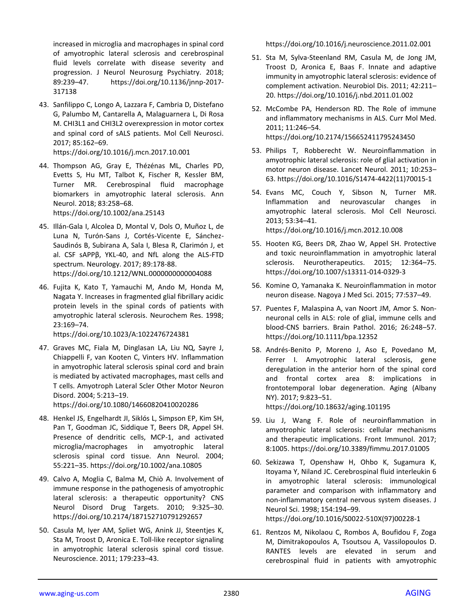increased in microglia and macrophages in spinal cord of amyotrophic lateral sclerosis and cerebrospinal fluid levels correlate with disease severity and progression. J Neurol Neurosurg Psychiatry. 2018; 89:239–47. https://doi.org/10.1136/jnnp-2017- 317138

43. Sanfilippo C, Longo A, Lazzara F, Cambria D, Distefano G, Palumbo M, Cantarella A, Malaguarnera L, Di Rosa M. CHI3L1 and CHI3L2 overexpression in motor cortex and spinal cord of sALS patients. Mol Cell Neurosci. 2017; 85:162–69.

<https://doi.org/10.1016/j.mcn.2017.10.001>

- 44. Thompson AG, Gray E, Thézénas ML, Charles PD, Evetts S, Hu MT, Talbot K, Fischer R, Kessler BM, Turner MR. Cerebrospinal fluid macrophage biomarkers in amyotrophic lateral sclerosis. Ann Neurol. 2018; 83:258–68. <https://doi.org/10.1002/ana.25143>
- 45. Illán-Gala I, Alcolea D, Montal V, Dols O, Muñoz L, de Luna N, Turón-Sans J, Cortés-Vicente E, Sánchez-Saudinós B, Subirana A, Sala I, Blesa R, Clarimón J, et al. CSF sAPPβ, YKL-40, and NfL along the ALS-FTD spectrum. Neurology. 2017; 89:178-88. https://doi.org/10.1212/WNL.0000000000004088
- 46. Fujita K, Kato T, Yamauchi M, Ando M, Honda M, Nagata Y. Increases in fragmented glial fibrillary acidic protein levels in the spinal cords of patients with amyotrophic lateral sclerosis. Neurochem Res. 1998; 23:169–74.

<https://doi.org/10.1023/A:1022476724381>

47. Graves MC, Fiala M, Dinglasan LA, Liu NQ, Sayre J, Chiappelli F, van Kooten C, Vinters HV. Inflammation in amyotrophic lateral sclerosis spinal cord and brain is mediated by activated macrophages, mast cells and T cells. Amyotroph Lateral Scler Other Motor Neuron Disord. 2004; 5:213–19. <https://doi.org/10.1080/14660820410020286>

- 48. Henkel JS, Engelhardt JI, Siklós L, Simpson EP, Kim SH, Pan T, Goodman JC, Siddique T, Beers DR, Appel SH. Presence of dendritic cells, MCP-1, and activated microglia/macrophages in amyotrophic lateral sclerosis spinal cord tissue. Ann Neurol. 2004; 55:221–35.<https://doi.org/10.1002/ana.10805>
- 49. Calvo A, Moglia C, Balma M, Chiò A. Involvement of immune response in the pathogenesis of amyotrophic lateral sclerosis: a therapeutic opportunity? CNS Neurol Disord Drug Targets. 2010; 9:325–30. <https://doi.org/10.2174/187152710791292657>
- 50. Casula M, Iyer AM, Spliet WG, Anink JJ, Steentjes K, Sta M, Troost D, Aronica E. Toll-like receptor signaling in amyotrophic lateral sclerosis spinal cord tissue. Neuroscience. 2011; 179:233–43.

<https://doi.org/10.1016/j.neuroscience.2011.02.001>

- 51. Sta M, Sylva-Steenland RM, Casula M, de Jong JM, Troost D, Aronica E, Baas F. Innate and adaptive immunity in amyotrophic lateral sclerosis: evidence of complement activation. Neurobiol Dis. 2011; 42:211– 20.<https://doi.org/10.1016/j.nbd.2011.01.002>
- 52. McCombe PA, Henderson RD. The Role of immune and inflammatory mechanisms in ALS. Curr Mol Med. 2011; 11:246–54. <https://doi.org/10.2174/156652411795243450>
- 53. Philips T, Robberecht W. Neuroinflammation in amyotrophic lateral sclerosis: role of glial activation in motor neuron disease. Lancet Neurol. 2011; 10:253– 63. [https://doi.org/10.1016/S1474-4422\(11\)70015-1](https://doi.org/10.1016/S1474-4422(11)70015-1)
- 54. Evans MC, Couch Y, Sibson N, Turner MR. Inflammation and neurovascular changes in amyotrophic lateral sclerosis. Mol Cell Neurosci. 2013; 53:34–41. <https://doi.org/10.1016/j.mcn.2012.10.008>
- 55. Hooten KG, Beers DR, Zhao W, Appel SH. Protective and toxic neuroinflammation in amyotrophic lateral sclerosis. Neurotherapeutics. 2015; 12:364–75. <https://doi.org/10.1007/s13311-014-0329-3>
- 56. Komine O, Yamanaka K. Neuroinflammation in motor neuron disease. Nagoya J Med Sci. 2015; 77:537–49.
- 57. Puentes F, Malaspina A, van Noort JM, Amor S. Nonneuronal cells in ALS: role of glial, immune cells and blood-CNS barriers. Brain Pathol. 2016; 26:248–57. <https://doi.org/10.1111/bpa.12352>
- 58. Andrés-Benito P, Moreno J, Aso E, Povedano M, Ferrer I. Amyotrophic lateral sclerosis, gene deregulation in the anterior horn of the spinal cord and frontal cortex area 8: implications in frontotemporal lobar degeneration. Aging (Albany NY). 2017; 9:823–51.

https://doi.org/10.18632/aging.101195

- 59. Liu J, Wang F. Role of neuroinflammation in amyotrophic lateral sclerosis: cellular mechanisms and therapeutic implications. Front Immunol. 2017; 8:1005.<https://doi.org/10.3389/fimmu.2017.01005>
- 60. Sekizawa T, Openshaw H, Ohbo K, Sugamura K, Itoyama Y, Niland JC. Cerebrospinal fluid interleukin 6 in amyotrophic lateral sclerosis: immunological parameter and comparison with inflammatory and non-inflammatory central nervous system diseases. J Neurol Sci. 1998; 154:194–99. [https://doi.org/10.1016/S0022-510X\(97\)00228-1](https://doi.org/10.1016/S0022-510X(97)00228-1)
- 61. Rentzos M, Nikolaou C, Rombos A, Boufidou F, Zoga M, Dimitrakopoulos A, Tsoutsou A, Vassilopoulos D. RANTES levels are elevated in serum and cerebrospinal fluid in patients with amyotrophic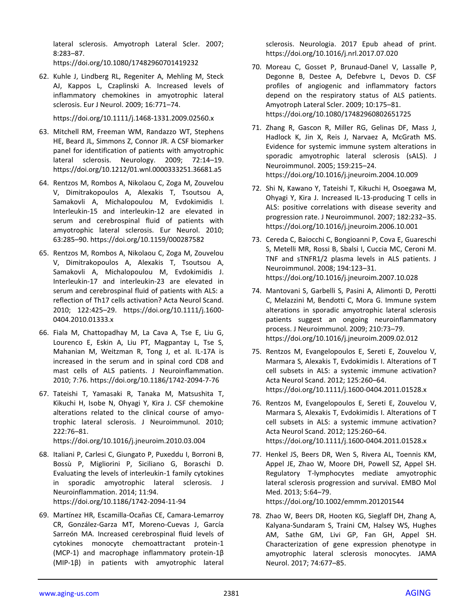lateral sclerosis. Amyotroph Lateral Scler. 2007; 8:283–87.

<https://doi.org/10.1080/17482960701419232>

62. Kuhle J, Lindberg RL, Regeniter A, Mehling M, Steck AJ, Kappos L, Czaplinski A. Increased levels of inflammatory chemokines in amyotrophic lateral sclerosis. Eur J Neurol. 2009; 16:771–74.

<https://doi.org/10.1111/j.1468-1331.2009.02560.x>

- 63. Mitchell RM, Freeman WM, Randazzo WT, Stephens HE, Beard JL, Simmons Z, Connor JR. A CSF biomarker panel for identification of patients with amyotrophic lateral sclerosis. Neurology. 2009; 72:14-19. <https://doi.org/10.1212/01.wnl.0000333251.36681.a5>
- 64. Rentzos M, Rombos A, Nikolaou C, Zoga M, Zouvelou V, Dimitrakopoulos A, Alexakis T, Tsoutsou A, Samakovli A, Michalopoulou M, Evdokimidis I. Interleukin-15 and interleukin-12 are elevated in serum and cerebrospinal fluid of patients with amyotrophic lateral sclerosis. Eur Neurol. 2010; 63:285–90.<https://doi.org/10.1159/000287582>
- 65. Rentzos M, Rombos A, Nikolaou C, Zoga M, Zouvelou V, Dimitrakopoulos A, Alexakis T, Tsoutsou A, Samakovli A, Michalopoulou M, Evdokimidis J. Interleukin-17 and interleukin-23 are elevated in serum and cerebrospinal fluid of patients with ALS: a reflection of Th17 cells activation? Acta Neurol Scand. 2010; 122:425–29. [https://doi.org/10.1111/j.1600-](https://doi.org/10.1111/j.1600-0404.2010.01333.x) [0404.2010.01333.x](https://doi.org/10.1111/j.1600-0404.2010.01333.x)
- 66. Fiala M, Chattopadhay M, La Cava A, Tse E, Liu G, Lourenco E, Eskin A, Liu PT, Magpantay L, Tse S, Mahanian M, Weitzman R, Tong J, et al. IL-17A is increased in the serum and in spinal cord CD8 and mast cells of ALS patients. J Neuroinflammation. 2010; 7:76.<https://doi.org/10.1186/1742-2094-7-76>
- 67. Tateishi T, Yamasaki R, Tanaka M, Matsushita T, Kikuchi H, Isobe N, Ohyagi Y, Kira J. CSF chemokine alterations related to the clinical course of amyotrophic lateral sclerosis. J Neuroimmunol. 2010; 222:76–81.

<https://doi.org/10.1016/j.jneuroim.2010.03.004>

- 68. Italiani P, Carlesi C, Giungato P, Puxeddu I, Borroni B, Bossù P, Migliorini P, Siciliano G, Boraschi D. Evaluating the levels of interleukin-1 family cytokines in sporadic amyotrophic lateral sclerosis. J Neuroinflammation. 2014; 11:94. <https://doi.org/10.1186/1742-2094-11-94>
- 69. Martínez HR, Escamilla-Ocañas CE, Camara-Lemarroy CR, González-Garza MT, Moreno-Cuevas J, García Sarreón MA. Increased cerebrospinal fluid levels of cytokines monocyte chemoattractant protein-1 (MCP-1) and macrophage inflammatory protein-1β (MIP-1β) in patients with amyotrophic lateral

sclerosis. Neurologia. 2017 Epub ahead of print. https://doi.org/10.1016/j.nrl.2017.07.020

- 70. Moreau C, Gosset P, Brunaud-Danel V, Lassalle P, Degonne B, Destee A, Defebvre L, Devos D. CSF profiles of angiogenic and inflammatory factors depend on the respiratory status of ALS patients. Amyotroph Lateral Scler. 2009; 10:175–81. <https://doi.org/10.1080/17482960802651725>
- 71. Zhang R, Gascon R, Miller RG, Gelinas DF, Mass J, Hadlock K, Jin X, Reis J, Narvaez A, McGrath MS. Evidence for systemic immune system alterations in sporadic amyotrophic lateral sclerosis (sALS). J Neuroimmunol. 2005; 159:215–24. <https://doi.org/10.1016/j.jneuroim.2004.10.009>
- 72. Shi N, Kawano Y, Tateishi T, Kikuchi H, Osoegawa M, Ohyagi Y, Kira J. Increased IL-13-producing T cells in ALS: positive correlations with disease severity and progression rate. J Neuroimmunol. 2007; 182:232–35. <https://doi.org/10.1016/j.jneuroim.2006.10.001>
- 73. Cereda C, Baiocchi C, Bongioanni P, Cova E, Guareschi S, Metelli MR, Rossi B, Sbalsi I, Cuccia MC, Ceroni M. TNF and sTNFR1/2 plasma levels in ALS patients. J Neuroimmunol. 2008; 194:123–31. <https://doi.org/10.1016/j.jneuroim.2007.10.028>
- 74. Mantovani S, Garbelli S, Pasini A, Alimonti D, Perotti C, Melazzini M, Bendotti C, Mora G. Immune system alterations in sporadic amyotrophic lateral sclerosis patients suggest an ongoing neuroinflammatory process. J Neuroimmunol. 2009; 210:73–79. <https://doi.org/10.1016/j.jneuroim.2009.02.012>
- 75. Rentzos M, Evangelopoulos E, Sereti E, Zouvelou V, Marmara S, Alexakis T, Evdokimidis I. Alterations of T cell subsets in ALS: a systemic immune activation? Acta Neurol Scand. 2012; 125:260–64. <https://doi.org/10.1111/j.1600-0404.2011.01528.x>
- 76. Rentzos M, Evangelopoulos E, Sereti E, Zouvelou V, Marmara S, Alexakis T, Evdokimidis I. Alterations of T cell subsets in ALS: a systemic immune activation? Acta Neurol Scand. 2012; 125:260–64. <https://doi.org/10.1111/j.1600-0404.2011.01528.x>
- 77. Henkel JS, Beers DR, Wen S, Rivera AL, Toennis KM, Appel JE, Zhao W, Moore DH, Powell SZ, Appel SH. Regulatory T-lymphocytes mediate amyotrophic lateral sclerosis progression and survival. EMBO Mol Med. 2013; 5:64–79. <https://doi.org/10.1002/emmm.201201544>
- 78. Zhao W, Beers DR, Hooten KG, Sieglaff DH, Zhang A, Kalyana-Sundaram S, Traini CM, Halsey WS, Hughes AM, Sathe GM, Livi GP, Fan GH, Appel SH. Characterization of gene expression phenotype in amyotrophic lateral sclerosis monocytes. JAMA Neurol. 2017; 74:677–85.